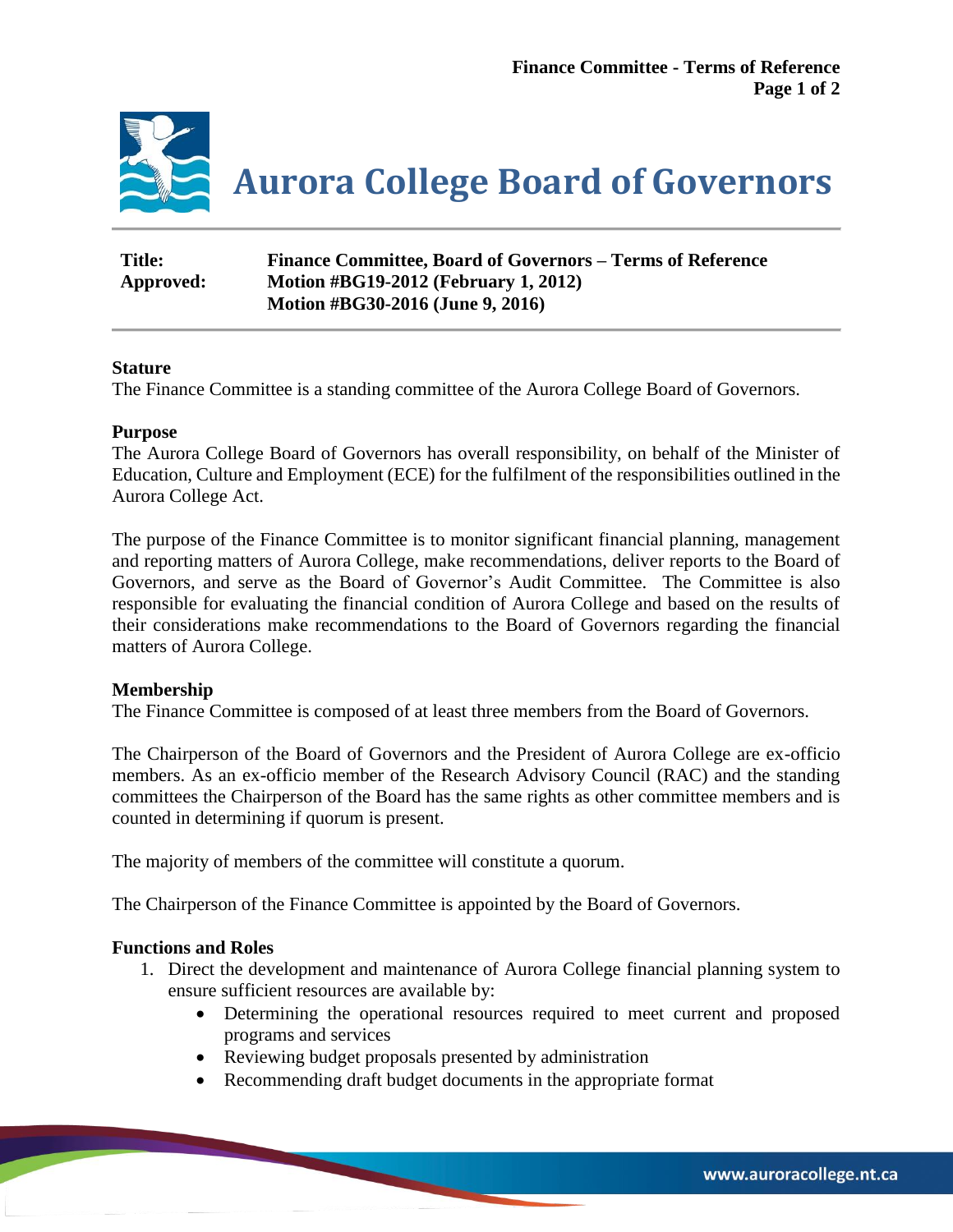

| <b>Title:</b> | Finance Committee, Board of Governors – Terms of Reference |
|---------------|------------------------------------------------------------|
| Approved:     | <b>Motion #BG19-2012 (February 1, 2012)</b>                |
|               | Motion #BG30-2016 (June 9, 2016)                           |

# **Stature**

The Finance Committee is a standing committee of the Aurora College Board of Governors.

## **Purpose**

The Aurora College Board of Governors has overall responsibility, on behalf of the Minister of Education, Culture and Employment (ECE) for the fulfilment of the responsibilities outlined in the Aurora College Act.

The purpose of the Finance Committee is to monitor significant financial planning, management and reporting matters of Aurora College, make recommendations, deliver reports to the Board of Governors, and serve as the Board of Governor's Audit Committee. The Committee is also responsible for evaluating the financial condition of Aurora College and based on the results of their considerations make recommendations to the Board of Governors regarding the financial matters of Aurora College.

## **Membership**

The Finance Committee is composed of at least three members from the Board of Governors.

The Chairperson of the Board of Governors and the President of Aurora College are ex-officio members. As an ex-officio member of the Research Advisory Council (RAC) and the standing committees the Chairperson of the Board has the same rights as other committee members and is counted in determining if quorum is present.

The majority of members of the committee will constitute a quorum.

The Chairperson of the Finance Committee is appointed by the Board of Governors.

# **Functions and Roles**

- 1. Direct the development and maintenance of Aurora College financial planning system to ensure sufficient resources are available by:
	- Determining the operational resources required to meet current and proposed programs and services
	- Reviewing budget proposals presented by administration
	- Recommending draft budget documents in the appropriate format